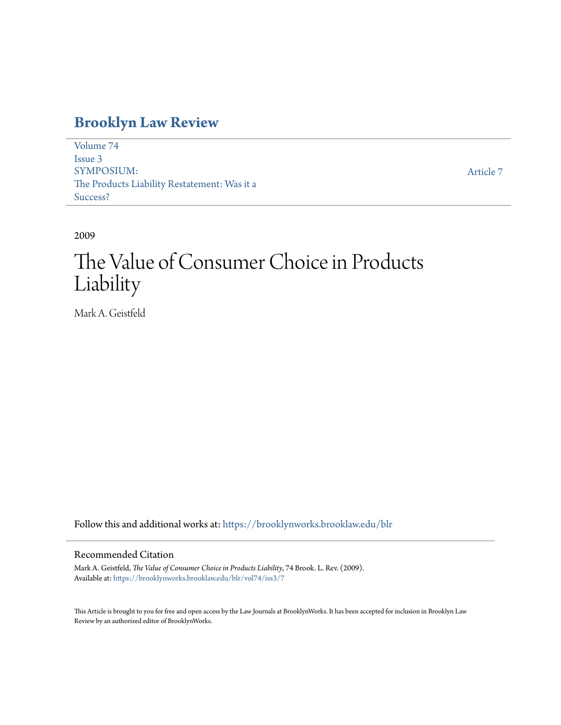# **[Brooklyn Law Review](https://brooklynworks.brooklaw.edu/blr?utm_source=brooklynworks.brooklaw.edu%2Fblr%2Fvol74%2Fiss3%2F7&utm_medium=PDF&utm_campaign=PDFCoverPages)**

[Volume 74](https://brooklynworks.brooklaw.edu/blr/vol74?utm_source=brooklynworks.brooklaw.edu%2Fblr%2Fvol74%2Fiss3%2F7&utm_medium=PDF&utm_campaign=PDFCoverPages) [Issue 3](https://brooklynworks.brooklaw.edu/blr/vol74/iss3?utm_source=brooklynworks.brooklaw.edu%2Fblr%2Fvol74%2Fiss3%2F7&utm_medium=PDF&utm_campaign=PDFCoverPages) SYMPOSIUM: The Products Liability Restatement: Was it a Success?

[Article 7](https://brooklynworks.brooklaw.edu/blr/vol74/iss3/7?utm_source=brooklynworks.brooklaw.edu%2Fblr%2Fvol74%2Fiss3%2F7&utm_medium=PDF&utm_campaign=PDFCoverPages)

2009

# The Value of Consumer Choice in Products Liability

Mark A. Geistfeld

Follow this and additional works at: [https://brooklynworks.brooklaw.edu/blr](https://brooklynworks.brooklaw.edu/blr?utm_source=brooklynworks.brooklaw.edu%2Fblr%2Fvol74%2Fiss3%2F7&utm_medium=PDF&utm_campaign=PDFCoverPages)

# Recommended Citation

Mark A. Geistfeld, *The Value of Consumer Choice in Products Liability*, 74 Brook. L. Rev. (2009). Available at: [https://brooklynworks.brooklaw.edu/blr/vol74/iss3/7](https://brooklynworks.brooklaw.edu/blr/vol74/iss3/7?utm_source=brooklynworks.brooklaw.edu%2Fblr%2Fvol74%2Fiss3%2F7&utm_medium=PDF&utm_campaign=PDFCoverPages)

This Article is brought to you for free and open access by the Law Journals at BrooklynWorks. It has been accepted for inclusion in Brooklyn Law Review by an authorized editor of BrooklynWorks.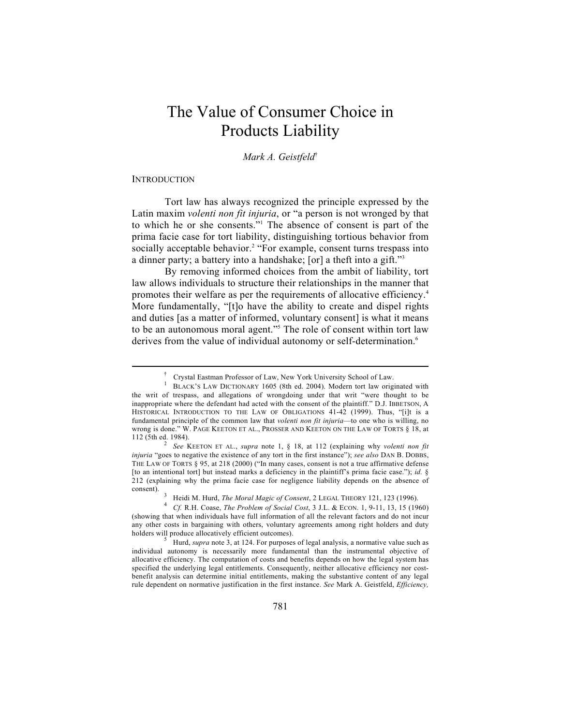# The Value of Consumer Choice in Products Liability

*Mark A. Geistfeld*†

# **INTRODUCTION**

 $\overline{a}$ 

†

Tort law has always recognized the principle expressed by the Latin maxim *volenti non fit injuria*, or "a person is not wronged by that to which he or she consents."1 The absence of consent is part of the prima facie case for tort liability, distinguishing tortious behavior from socially acceptable behavior.<sup>2</sup> "For example, consent turns trespass into a dinner party; a battery into a handshake; [or] a theft into a gift."3

By removing informed choices from the ambit of liability, tort law allows individuals to structure their relationships in the manner that promotes their welfare as per the requirements of allocative efficiency.4 More fundamentally, "[t]o have the ability to create and dispel rights and duties [as a matter of informed, voluntary consent] is what it means to be an autonomous moral agent."<sup>5</sup> The role of consent within tort law derives from the value of individual autonomy or self-determination.<sup>6</sup>

Crystal Eastman Professor of Law, New York University School of Law. 1

BLACK'S LAW DICTIONARY 1605 (8th ed. 2004). Modern tort law originated with the writ of trespass, and allegations of wrongdoing under that writ "were thought to be inappropriate where the defendant had acted with the consent of the plaintiff." D.J. IBBETSON, A HISTORICAL INTRODUCTION TO THE LAW OF OBLIGATIONS 41-42 (1999). Thus, "[i]t is a fundamental principle of the common law that *volenti non fit injuria*—to one who is willing, no wrong is done." W. PAGE KEETON ET AL., PROSSER AND KEETON ON THE LAW OF TORTS § 18, at 112 (5th ed. 1984). 2 *See* KEETON ET AL., *supra* note 1, § 18, at 112 (explaining why *volenti non fit* 

*injuria* "goes to negative the existence of any tort in the first instance"); *see also* DAN B. DOBBS, THE LAW OF TORTS § 95, at 218 (2000) ("In many cases, consent is not a true affirmative defense [to an intentional tort] but instead marks a deficiency in the plaintiff's prima facie case."); *id.* § 212 (explaining why the prima facie case for negligence liability depends on the absence of consent).

Heidi M. Hurd, *The Moral Magic of Consent*, 2 LEGAL THEORY 121, 123 (1996).<br>Cf. R.H. Coase, *The Problem of Social Cost*, 3 J.L. & ECON. 1, 9-11, 13, 15 (1960)

<sup>(</sup>showing that when individuals have full information of all the relevant factors and do not incur any other costs in bargaining with others, voluntary agreements among right holders and duty holders will produce allocatively efficient outcomes).

Hurd, *supra* note 3, at 124. For purposes of legal analysis, a normative value such as individual autonomy is necessarily more fundamental than the instrumental objective of allocative efficiency. The computation of costs and benefits depends on how the legal system has specified the underlying legal entitlements. Consequently, neither allocative efficiency nor costbenefit analysis can determine initial entitlements, making the substantive content of any legal rule dependent on normative justification in the first instance. *See* Mark A. Geistfeld, *Efficiency,*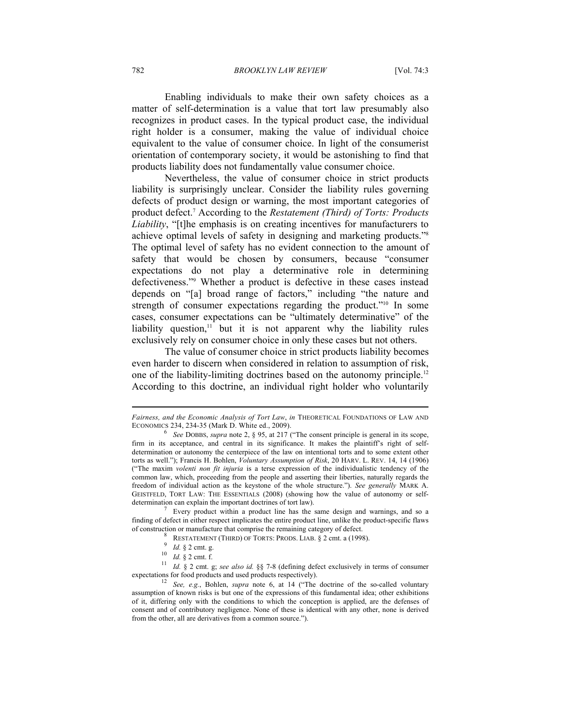782 *BROOKLYN LAW REVIEW* [Vol. 74:3

Enabling individuals to make their own safety choices as a matter of self-determination is a value that tort law presumably also recognizes in product cases. In the typical product case, the individual right holder is a consumer, making the value of individual choice equivalent to the value of consumer choice. In light of the consumerist orientation of contemporary society, it would be astonishing to find that products liability does not fundamentally value consumer choice.

Nevertheless, the value of consumer choice in strict products liability is surprisingly unclear. Consider the liability rules governing defects of product design or warning, the most important categories of product defect.7 According to the *Restatement (Third) of Torts: Products Liability*, "[t]he emphasis is on creating incentives for manufacturers to achieve optimal levels of safety in designing and marketing products."8 The optimal level of safety has no evident connection to the amount of safety that would be chosen by consumers, because "consumer expectations do not play a determinative role in determining defectiveness."9 Whether a product is defective in these cases instead depends on "[a] broad range of factors," including "the nature and strength of consumer expectations regarding the product."<sup>10</sup> In some cases, consumer expectations can be "ultimately determinative" of the liability question, $\frac{11}{1}$  but it is not apparent why the liability rules exclusively rely on consumer choice in only these cases but not others.

The value of consumer choice in strict products liability becomes even harder to discern when considered in relation to assumption of risk, one of the liability-limiting doctrines based on the autonomy principle.12 According to this doctrine, an individual right holder who voluntarily

*Fairness, and the Economic Analysis of Tort Law*, *in* THEORETICAL FOUNDATIONS OF LAW AND ECONOMICS 234, 234-35 (Mark D. White ed., 2009).

<sup>6</sup> *See* DOBBS, *supra* note 2, § 95, at 217 ("The consent principle is general in its scope, firm in its acceptance, and central in its significance. It makes the plaintiff's right of selfdetermination or autonomy the centerpiece of the law on intentional torts and to some extent other torts as well."); Francis H. Bohlen, *Voluntary Assumption of Risk*, 20 HARV. L. REV. 14, 14 (1906) ("The maxim *volenti non fit injuria* is a terse expression of the individualistic tendency of the common law, which, proceeding from the people and asserting their liberties, naturally regards the freedom of individual action as the keystone of the whole structure."). *See generally* MARK A. GEISTFELD, TORT LAW: THE ESSENTIALS (2008) (showing how the value of autonomy or selfdetermination can explain the important doctrines of tort law).

 $\frac{7}{1}$  Every product within a product line has the same design and warnings, and so a finding of defect in either respect implicates the entire product line, unlike the product-specific flaws of construction or manufacture that comprise the remaining category of defect.<br><sup>8</sup> RESTATEMENT (THIRD) OF TORTS: PRODS. LIAB. § 2 cmt. a (1998).

RESTATEMENT (THIRD) OF TORTS: PRODS. LIAB. § 2 cmt. a (1998).<br>
<sup>9</sup> *Id.* § 2 cmt. g.<br>
<sup>10</sup> *Id.* § 2 cmt. f.<br>
<sup>11</sup> *Id.* § 2 cmt. g; *see also id.* §§ 7-8 (defining defect exclusively in terms of consumer expectations for food products and used products respectively). 12 *See, e.g.*, Bohlen, *supra* note 6, at 14 ("The doctrine of the so-called voluntary

<sup>&</sup>lt;sup>12</sup> *See, e.g.*, Bohlen, *supra* note 6, at 14 ("The doctrine of the so-called voluntary assumption of known risks is but one of the expressions of this fundamental idea; other exhibitions of it, differing only with the conditions to which the conception is applied, are the defenses of consent and of contributory negligence. None of these is identical with any other, none is derived from the other, all are derivatives from a common source.").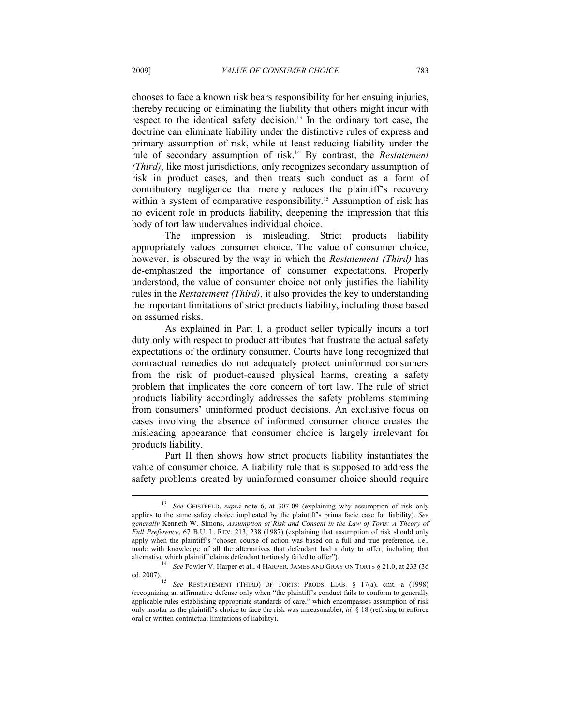chooses to face a known risk bears responsibility for her ensuing injuries, thereby reducing or eliminating the liability that others might incur with respect to the identical safety decision.13 In the ordinary tort case, the doctrine can eliminate liability under the distinctive rules of express and primary assumption of risk, while at least reducing liability under the rule of secondary assumption of risk.14 By contrast, the *Restatement (Third)*, like most jurisdictions, only recognizes secondary assumption of risk in product cases, and then treats such conduct as a form of contributory negligence that merely reduces the plaintiff's recovery within a system of comparative responsibility.<sup>15</sup> Assumption of risk has no evident role in products liability, deepening the impression that this body of tort law undervalues individual choice.

The impression is misleading. Strict products liability appropriately values consumer choice. The value of consumer choice, however, is obscured by the way in which the *Restatement (Third)* has de-emphasized the importance of consumer expectations. Properly understood, the value of consumer choice not only justifies the liability rules in the *Restatement (Third)*, it also provides the key to understanding the important limitations of strict products liability, including those based on assumed risks.

As explained in Part I, a product seller typically incurs a tort duty only with respect to product attributes that frustrate the actual safety expectations of the ordinary consumer. Courts have long recognized that contractual remedies do not adequately protect uninformed consumers from the risk of product-caused physical harms, creating a safety problem that implicates the core concern of tort law. The rule of strict products liability accordingly addresses the safety problems stemming from consumers' uninformed product decisions. An exclusive focus on cases involving the absence of informed consumer choice creates the misleading appearance that consumer choice is largely irrelevant for products liability.

Part II then shows how strict products liability instantiates the value of consumer choice. A liability rule that is supposed to address the safety problems created by uninformed consumer choice should require

<sup>13</sup> *See* GEISTFELD, *supra* note 6, at 307-09 (explaining why assumption of risk only applies to the same safety choice implicated by the plaintiff's prima facie case for liability). *See generally* Kenneth W. Simons, *Assumption of Risk and Consent in the Law of Torts: A Theory of Full Preference*, 67 B.U. L. REV. 213, 238 (1987) (explaining that assumption of risk should only apply when the plaintiff's "chosen course of action was based on a full and true preference, i.e., made with knowledge of all the alternatives that defendant had a duty to offer, including that

alternative which plaintiff claims defendant tortiously failed to offer").<br>
<sup>14</sup> *See* Fowler V. Harper et al., 4 HARPER, JAMES AND GRAY ON TORTS § 21.0, at 233 (3d ed. 2007).

See RESTATEMENT (THIRD) OF TORTS: PRODS. LIAB. § 17(a), cmt. a (1998) (recognizing an affirmative defense only when "the plaintiff's conduct fails to conform to generally applicable rules establishing appropriate standards of care," which encompasses assumption of risk only insofar as the plaintiff's choice to face the risk was unreasonable); *id.* § 18 (refusing to enforce oral or written contractual limitations of liability).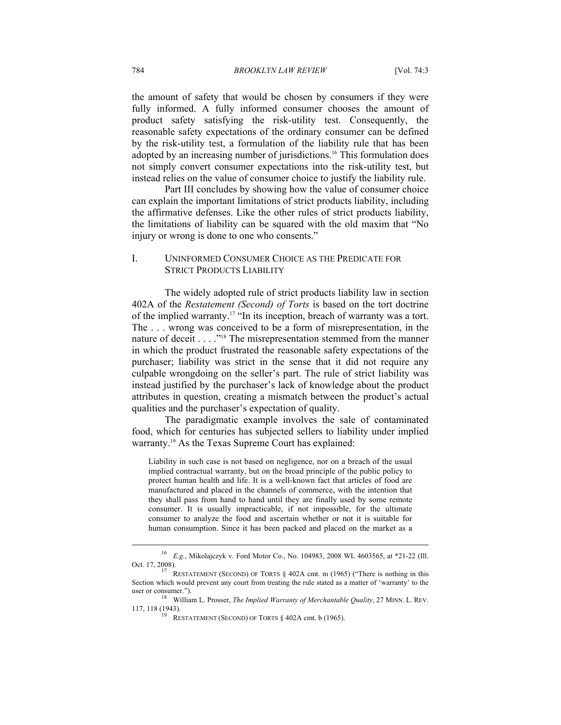the amount of safety that would be chosen by consumers if they were fully informed. A fully informed consumer chooses the amount of product safety satisfying the risk-utility test. Consequently, the reasonable safety expectations of the ordinary consumer can be defined by the risk-utility test, a formulation of the liability rule that has been adopted by an increasing number of jurisdictions.<sup>16</sup> This formulation does not simply convert consumer expectations into the risk-utility test, but instead relies on the value of consumer choice to justify the liability rule.

Part III concludes by showing how the value of consumer choice can explain the important limitations of strict products liability, including the affirmative defenses. Like the other rules of strict products liability, the limitations of liability can be squared with the old maxim that "No injury or wrong is done to one who consents."

# I. UNINFORMED CONSUMER CHOICE AS THE PREDICATE FOR STRICT PRODUCTS LIABILITY

The widely adopted rule of strict products liability law in section 402A of the *Restatement (Second) of Torts* is based on the tort doctrine of the implied warranty.17 "In its inception, breach of warranty was a tort. The . . . wrong was conceived to be a form of misrepresentation, in the nature of deceit . . . . "<sup>18</sup> The misrepresentation stemmed from the manner in which the product frustrated the reasonable safety expectations of the purchaser; liability was strict in the sense that it did not require any culpable wrongdoing on the seller's part. The rule of strict liability was instead justified by the purchaser's lack of knowledge about the product attributes in question, creating a mismatch between the product's actual qualities and the purchaser's expectation of quality.

The paradigmatic example involves the sale of contaminated food, which for centuries has subjected sellers to liability under implied warranty.19 As the Texas Supreme Court has explained:

Liability in such case is not based on negligence, nor on a breach of the usual implied contractual warranty, but on the broad principle of the public policy to protect human health and life. It is a well-known fact that articles of food are manufactured and placed in the channels of commerce, with the intention that they shall pass from hand to hand until they are finally used by some remote consumer. It is usually impracticable, if not impossible, for the ultimate consumer to analyze the food and ascertain whether or not it is suitable for human consumption. Since it has been packed and placed on the market as a

<sup>16</sup> *E.g.*, Mikolajczyk v. Ford Motor Co., No. 104983, 2008 WL 4603565, at \*21-22 (Ill. Oct. 17, 2008).<br><sup>17</sup> RESTATEMENT (SECOND) OF TORTS § 402A cmt. m (1965) ("There is nothing in this

Section which would prevent any court from treating the rule stated as a matter of 'warranty' to the

user or consumer."). 18 William L. Prosser, *The Implied Warranty of Merchantable Quality*, 27 MINN. L. REV. 117, 118 (1943).<br>
RESTATEMENT (SECOND) OF TORTS § 402A cmt. b (1965).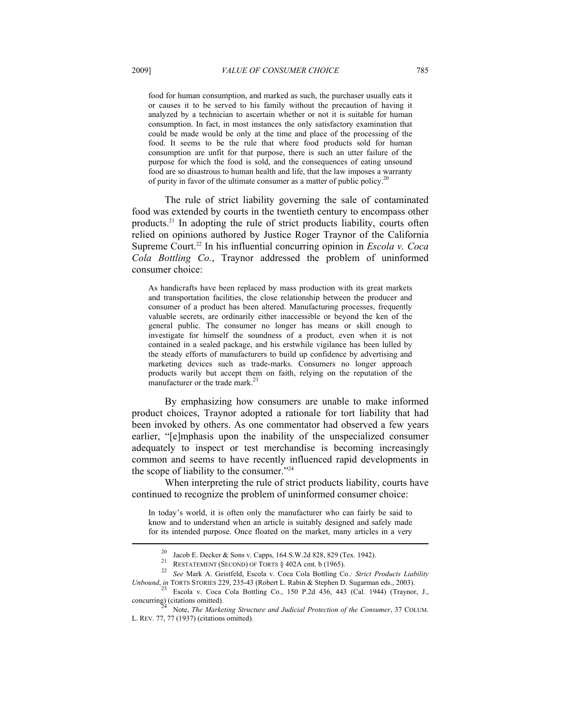food for human consumption, and marked as such, the purchaser usually eats it or causes it to be served to his family without the precaution of having it analyzed by a technician to ascertain whether or not it is suitable for human consumption. In fact, in most instances the only satisfactory examination that could be made would be only at the time and place of the processing of the food. It seems to be the rule that where food products sold for human consumption are unfit for that purpose, there is such an utter failure of the purpose for which the food is sold, and the consequences of eating unsound food are so disastrous to human health and life, that the law imposes a warranty of purity in favor of the ultimate consumer as a matter of public policy.<sup>2</sup>

The rule of strict liability governing the sale of contaminated food was extended by courts in the twentieth century to encompass other products.21 In adopting the rule of strict products liability, courts often relied on opinions authored by Justice Roger Traynor of the California Supreme Court.<sup>22</sup> In his influential concurring opinion in *Escola v. Coca Cola Bottling Co.*, Traynor addressed the problem of uninformed consumer choice:

As handicrafts have been replaced by mass production with its great markets and transportation facilities, the close relationship between the producer and consumer of a product has been altered. Manufacturing processes, frequently valuable secrets, are ordinarily either inaccessible or beyond the ken of the general public. The consumer no longer has means or skill enough to investigate for himself the soundness of a product, even when it is not contained in a sealed package, and his erstwhile vigilance has been lulled by the steady efforts of manufacturers to build up confidence by advertising and marketing devices such as trade-marks. Consumers no longer approach products warily but accept them on faith, relying on the reputation of the manufacturer or the trade mark.<sup>23</sup>

By emphasizing how consumers are unable to make informed product choices, Traynor adopted a rationale for tort liability that had been invoked by others. As one commentator had observed a few years earlier, "[e]mphasis upon the inability of the unspecialized consumer adequately to inspect or test merchandise is becoming increasingly common and seems to have recently influenced rapid developments in the scope of liability to the consumer."24

When interpreting the rule of strict products liability, courts have continued to recognize the problem of uninformed consumer choice:

In today's world, it is often only the manufacturer who can fairly be said to know and to understand when an article is suitably designed and safely made for its intended purpose. Once floated on the market, many articles in a very

<sup>&</sup>lt;sup>20</sup> Jacob E. Decker & Sons v. Capps, 164 S.W.2d 828, 829 (Tex. 1942).<br>
RESTATEMENT (SECOND) OF TORTS § 402A cmt. b (1965).

<sup>&</sup>lt;sup>22</sup> See Mark A. Geistfeld, Escola v. Coca Cola Bottling Co.*: Strict Products Liability* 

*Unbound*, *in* TORTS STORIES 229, 235-43 (Robert L. Rabin & Stephen D. Sugarman eds., 2003).<br><sup>23</sup> Escola v. Coca Cola Bottling Co., 150 P.2d 436, 443 (Cal. 1944) (Traynor, J., concurring) (citations omitted).

Note, *The Marketing Structure and Judicial Protection of the Consumer*, 37 COLUM. L. REV. 77, 77 (1937) (citations omitted).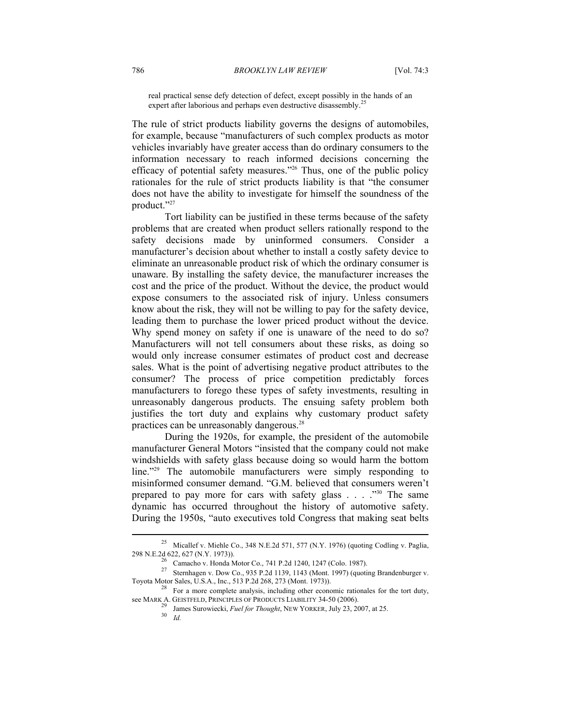real practical sense defy detection of defect, except possibly in the hands of an expert after laborious and perhaps even destructive disassembly.<sup>25</sup>

The rule of strict products liability governs the designs of automobiles, for example, because "manufacturers of such complex products as motor vehicles invariably have greater access than do ordinary consumers to the information necessary to reach informed decisions concerning the efficacy of potential safety measures."26 Thus, one of the public policy rationales for the rule of strict products liability is that "the consumer does not have the ability to investigate for himself the soundness of the product."27

Tort liability can be justified in these terms because of the safety problems that are created when product sellers rationally respond to the safety decisions made by uninformed consumers. Consider a manufacturer's decision about whether to install a costly safety device to eliminate an unreasonable product risk of which the ordinary consumer is unaware. By installing the safety device, the manufacturer increases the cost and the price of the product. Without the device, the product would expose consumers to the associated risk of injury. Unless consumers know about the risk, they will not be willing to pay for the safety device, leading them to purchase the lower priced product without the device. Why spend money on safety if one is unaware of the need to do so? Manufacturers will not tell consumers about these risks, as doing so would only increase consumer estimates of product cost and decrease sales. What is the point of advertising negative product attributes to the consumer? The process of price competition predictably forces manufacturers to forego these types of safety investments, resulting in unreasonably dangerous products. The ensuing safety problem both justifies the tort duty and explains why customary product safety practices can be unreasonably dangerous.28

During the 1920s, for example, the president of the automobile manufacturer General Motors "insisted that the company could not make windshields with safety glass because doing so would harm the bottom line."<sup>29</sup> The automobile manufacturers were simply responding to misinformed consumer demand. "G.M. believed that consumers weren't prepared to pay more for cars with safety glass  $\ldots$  . . . . . . The same dynamic has occurred throughout the history of automotive safety. During the 1950s, "auto executives told Congress that making seat belts

<sup>&</sup>lt;sup>25</sup> Micallef v. Miehle Co., 348 N.E.2d 571, 577 (N.Y. 1976) (quoting Codling v. Paglia, 298 N.E.2d 622, 627 (N.Y. 1973)). 26 Camacho v. Honda Motor Co., 741 P.2d 1240, 1247 (Colo. 1987).

<sup>27</sup> Sternhagen v. Dow Co., 935 P.2d 1139, 1143 (Mont. 1997) (quoting Brandenburger v. Toyota Motor Sales, U.S.A., Inc., 513 P.2d 268, 273 (Mont. 1973)). 28 For a more complete analysis, including other economic rationales for the tort duty,

see MARK A. GEISTFELD, PRINCIPLES OF PRODUCTS LIABILITY 34-50 (2006).<br><sup>29</sup> James Surowiecki, *Fuel for Thought*, NEW YORKER, July 23, 2007, at 25.<br><sup>30</sup> *Id.*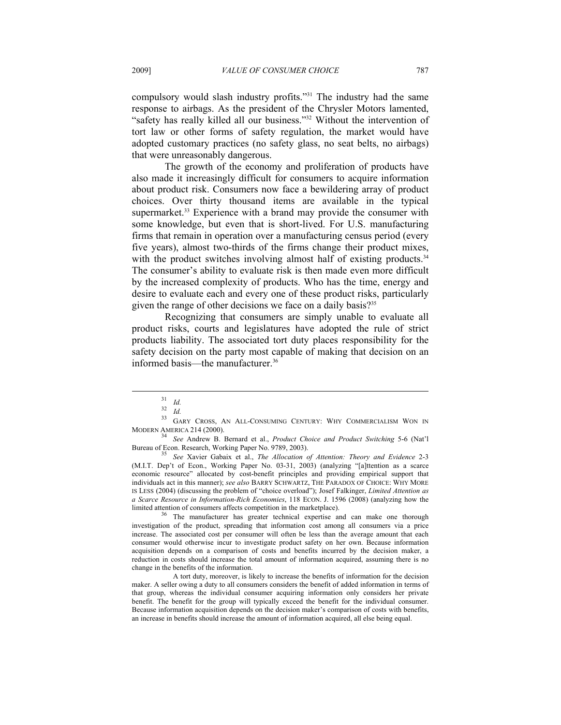compulsory would slash industry profits."31 The industry had the same response to airbags. As the president of the Chrysler Motors lamented, "safety has really killed all our business."<sup>32</sup> Without the intervention of tort law or other forms of safety regulation, the market would have adopted customary practices (no safety glass, no seat belts, no airbags) that were unreasonably dangerous.

The growth of the economy and proliferation of products have also made it increasingly difficult for consumers to acquire information about product risk. Consumers now face a bewildering array of product choices. Over thirty thousand items are available in the typical supermarket.<sup>33</sup> Experience with a brand may provide the consumer with some knowledge, but even that is short-lived. For U.S. manufacturing firms that remain in operation over a manufacturing census period (every five years), almost two-thirds of the firms change their product mixes, with the product switches involving almost half of existing products.<sup>34</sup> The consumer's ability to evaluate risk is then made even more difficult by the increased complexity of products. Who has the time, energy and desire to evaluate each and every one of these product risks, particularly given the range of other decisions we face on a daily basis?<sup>35</sup>

Recognizing that consumers are simply unable to evaluate all product risks, courts and legislatures have adopted the rule of strict products liability. The associated tort duty places responsibility for the safety decision on the party most capable of making that decision on an informed basis—the manufacturer.<sup>36</sup>

 $\overline{a}$ 

The manufacturer has greater technical expertise and can make one thorough investigation of the product, spreading that information cost among all consumers via a price increase. The associated cost per consumer will often be less than the average amount that each consumer would otherwise incur to investigate product safety on her own. Because information acquisition depends on a comparison of costs and benefits incurred by the decision maker, a reduction in costs should increase the total amount of information acquired, assuming there is no change in the benefits of the information.

 A tort duty, moreover, is likely to increase the benefits of information for the decision maker. A seller owing a duty to all consumers considers the benefit of added information in terms of that group, whereas the individual consumer acquiring information only considers her private benefit. The benefit for the group will typically exceed the benefit for the individual consumer. Because information acquisition depends on the decision maker's comparison of costs with benefits, an increase in benefits should increase the amount of information acquired, all else being equal.

<sup>31</sup> *Id.* <sup>32</sup>*Id.* 33 GARY CROSS, AN ALL-CONSUMING CENTURY: WHY COMMERCIALISM WON IN

MODERN AMERICA 214 (2000). 34 *See* Andrew B. Bernard et al., *Product Choice and Product Switching* 5-6 (Nat'l

<sup>&</sup>lt;sup>35</sup> See Xavier Gabaix et al., *The Allocation of Attention: Theory and Evidence* 2-3 (M.I.T. Dep't of Econ., Working Paper No. 03-31, 2003) (analyzing "[a]ttention as a scarce economic resource" allocated by cost-benefit principles and providing empirical support that individuals act in this manner); *see also* BARRY SCHWARTZ, THE PARADOX OF CHOICE: WHY MORE IS LESS (2004) (discussing the problem of "choice overload"); Josef Falkinger, *Limited Attention as a Scarce Resource in Information-Rich Economies*, 118 ECON. J. 1596 (2008) (analyzing how the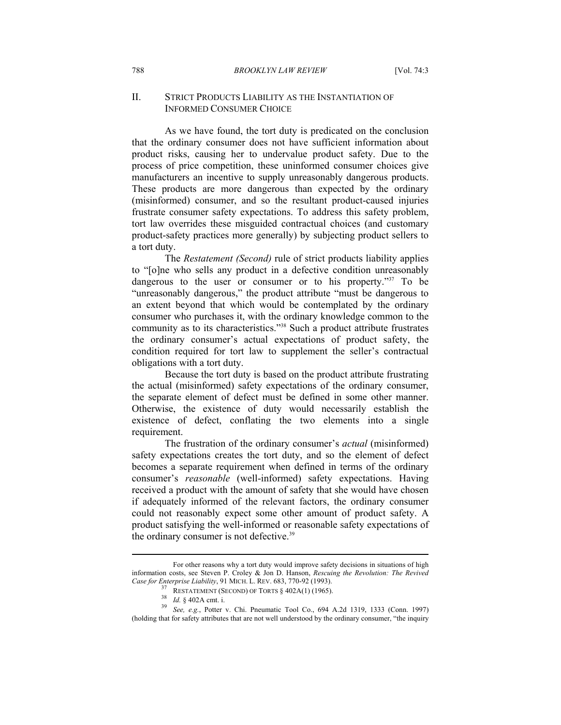## II. STRICT PRODUCTS LIABILITY AS THE INSTANTIATION OF INFORMED CONSUMER CHOICE

As we have found, the tort duty is predicated on the conclusion that the ordinary consumer does not have sufficient information about product risks, causing her to undervalue product safety. Due to the process of price competition, these uninformed consumer choices give manufacturers an incentive to supply unreasonably dangerous products. These products are more dangerous than expected by the ordinary (misinformed) consumer, and so the resultant product-caused injuries frustrate consumer safety expectations. To address this safety problem, tort law overrides these misguided contractual choices (and customary product-safety practices more generally) by subjecting product sellers to a tort duty.

The *Restatement (Second)* rule of strict products liability applies to "[o]ne who sells any product in a defective condition unreasonably dangerous to the user or consumer or to his property."<sup>37</sup> To be "unreasonably dangerous," the product attribute "must be dangerous to an extent beyond that which would be contemplated by the ordinary consumer who purchases it, with the ordinary knowledge common to the community as to its characteristics."38 Such a product attribute frustrates the ordinary consumer's actual expectations of product safety, the condition required for tort law to supplement the seller's contractual obligations with a tort duty.

Because the tort duty is based on the product attribute frustrating the actual (misinformed) safety expectations of the ordinary consumer, the separate element of defect must be defined in some other manner. Otherwise, the existence of duty would necessarily establish the existence of defect, conflating the two elements into a single requirement.

The frustration of the ordinary consumer's *actual* (misinformed) safety expectations creates the tort duty, and so the element of defect becomes a separate requirement when defined in terms of the ordinary consumer's *reasonable* (well-informed) safety expectations. Having received a product with the amount of safety that she would have chosen if adequately informed of the relevant factors, the ordinary consumer could not reasonably expect some other amount of product safety. A product satisfying the well-informed or reasonable safety expectations of the ordinary consumer is not defective.39

For other reasons why a tort duty would improve safety decisions in situations of high information costs, see Steven P. Croley & Jon D. Hanson, *Rescuing the Revolution: The Revived* 

Case for Enterprise Liability, 91 MICH. L. REV. 683, 770-92 (1993).<br>
<sup>37</sup> RESTATEMENT (SECOND) OF TORTS § 402A(1) (1965).<br>
<sup>38</sup> Id. § 402A cmt. i.<br>
<sup>39</sup> See, e.g., Potter v. Chi. Pneumatic Tool Co., 694 A.2d 1319, 1333 (C (holding that for safety attributes that are not well understood by the ordinary consumer, "the inquiry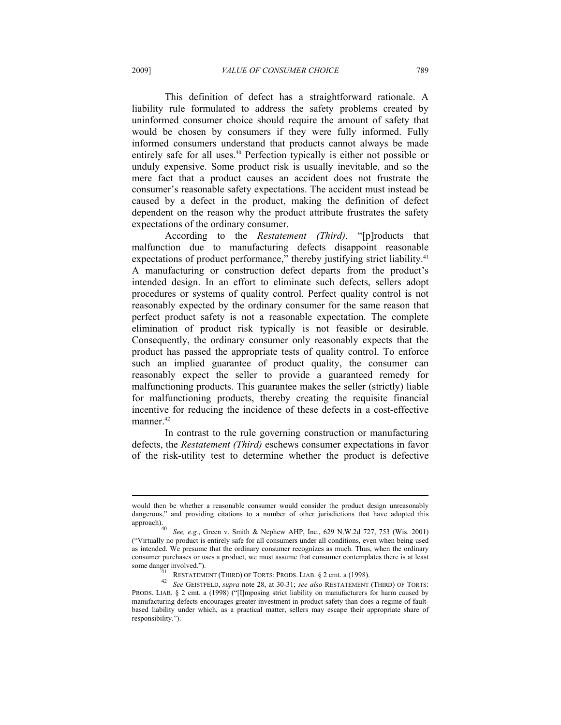This definition of defect has a straightforward rationale. A liability rule formulated to address the safety problems created by uninformed consumer choice should require the amount of safety that would be chosen by consumers if they were fully informed. Fully informed consumers understand that products cannot always be made entirely safe for all uses.40 Perfection typically is either not possible or unduly expensive. Some product risk is usually inevitable, and so the mere fact that a product causes an accident does not frustrate the consumer's reasonable safety expectations. The accident must instead be caused by a defect in the product, making the definition of defect dependent on the reason why the product attribute frustrates the safety expectations of the ordinary consumer.

According to the *Restatement (Third)*, "[p]roducts that malfunction due to manufacturing defects disappoint reasonable expectations of product performance," thereby justifying strict liability.<sup>41</sup> A manufacturing or construction defect departs from the product's intended design. In an effort to eliminate such defects, sellers adopt procedures or systems of quality control. Perfect quality control is not reasonably expected by the ordinary consumer for the same reason that perfect product safety is not a reasonable expectation. The complete elimination of product risk typically is not feasible or desirable. Consequently, the ordinary consumer only reasonably expects that the product has passed the appropriate tests of quality control. To enforce such an implied guarantee of product quality, the consumer can reasonably expect the seller to provide a guaranteed remedy for malfunctioning products. This guarantee makes the seller (strictly) liable for malfunctioning products, thereby creating the requisite financial incentive for reducing the incidence of these defects in a cost-effective manner.<sup>42</sup>

In contrast to the rule governing construction or manufacturing defects, the *Restatement (Third)* eschews consumer expectations in favor of the risk-utility test to determine whether the product is defective

would then be whether a reasonable consumer would consider the product design unreasonably dangerous," and providing citations to a number of other jurisdictions that have adopted this approach).

See, e.g., Green v. Smith & Nephew AHP, Inc., 629 N.W.2d 727, 753 (Wis. 2001) ("Virtually no product is entirely safe for all consumers under all conditions, even when being used as intended. We presume that the ordinary consumer recognizes as much. Thus, when the ordinary consumer purchases or uses a product, we must assume that consumer contemplates there is at least

some danger involved."). 41 RESTATEMENT (THIRD) OF TORTS: PRODS. LIAB. § 2 cmt. a (1998). 42 *See* GEISTFELD, *supra* note 28, at 30-31; *see also* RESTATEMENT (THIRD) OF TORTS: PRODS. LIAB. § 2 cmt. a (1998) ("[I]mposing strict liability on manufacturers for harm caused by manufacturing defects encourages greater investment in product safety than does a regime of faultbased liability under which, as a practical matter, sellers may escape their appropriate share of responsibility.").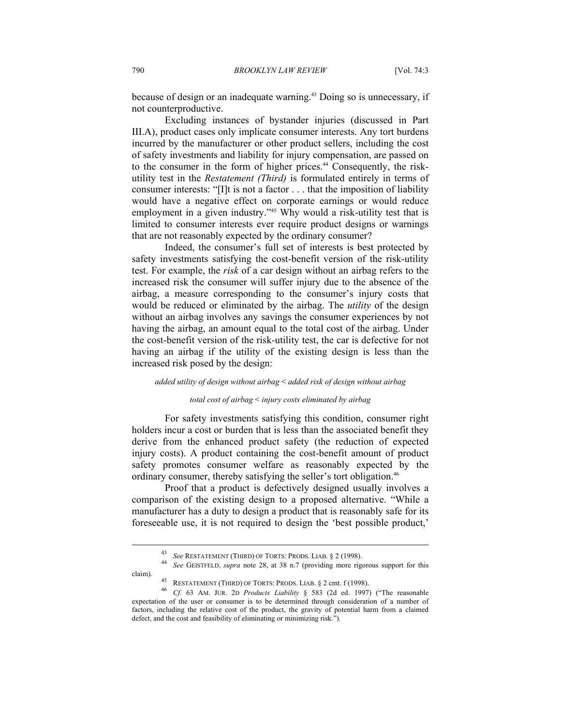because of design or an inadequate warning.43 Doing so is unnecessary, if not counterproductive.

Excluding instances of bystander injuries (discussed in Part III.A), product cases only implicate consumer interests. Any tort burdens incurred by the manufacturer or other product sellers, including the cost of safety investments and liability for injury compensation, are passed on to the consumer in the form of higher prices.44 Consequently, the riskutility test in the *Restatement (Third)* is formulated entirely in terms of consumer interests: "[I]t is not a factor . . . that the imposition of liability would have a negative effect on corporate earnings or would reduce employment in a given industry.<sup>245</sup> Why would a risk-utility test that is limited to consumer interests ever require product designs or warnings that are not reasonably expected by the ordinary consumer?

Indeed, the consumer's full set of interests is best protected by safety investments satisfying the cost-benefit version of the risk-utility test. For example, the *risk* of a car design without an airbag refers to the increased risk the consumer will suffer injury due to the absence of the airbag, a measure corresponding to the consumer's injury costs that would be reduced or eliminated by the airbag. The *utility* of the design without an airbag involves any savings the consumer experiences by not having the airbag, an amount equal to the total cost of the airbag. Under the cost-benefit version of the risk-utility test, the car is defective for not having an airbag if the utility of the existing design is less than the increased risk posed by the design:

#### *added utility of design without airbag* < *added risk of design without airbag*

#### *total cost of airbag* < *injury costs eliminated by airbag*

For safety investments satisfying this condition, consumer right holders incur a cost or burden that is less than the associated benefit they derive from the enhanced product safety (the reduction of expected injury costs). A product containing the cost-benefit amount of product safety promotes consumer welfare as reasonably expected by the ordinary consumer, thereby satisfying the seller's tort obligation.<sup>46</sup>

Proof that a product is defectively designed usually involves a comparison of the existing design to a proposed alternative. "While a manufacturer has a duty to design a product that is reasonably safe for its foreseeable use, it is not required to design the 'best possible product,'

<sup>43</sup> *See* RESTATEMENT (THIRD) OF TORTS: PRODS. LIAB. § 2 (1998). 44 *See* GEISTFELD, *supra* note 28, at 38 n.7 (providing more rigorous support for this

claim). 45 RESTATEMENT (THIRD) OF TORTS: PRODS. LIAB. § 2 cmt. f (1998). 46 *Cf.* 63 AM. JUR. 2D *Products Liability* § 583 (2d ed. 1997) ("The reasonable expectation of the user or consumer is to be determined through consideration of a number of factors, including the relative cost of the product, the gravity of potential harm from a claimed defect, and the cost and feasibility of eliminating or minimizing risk.").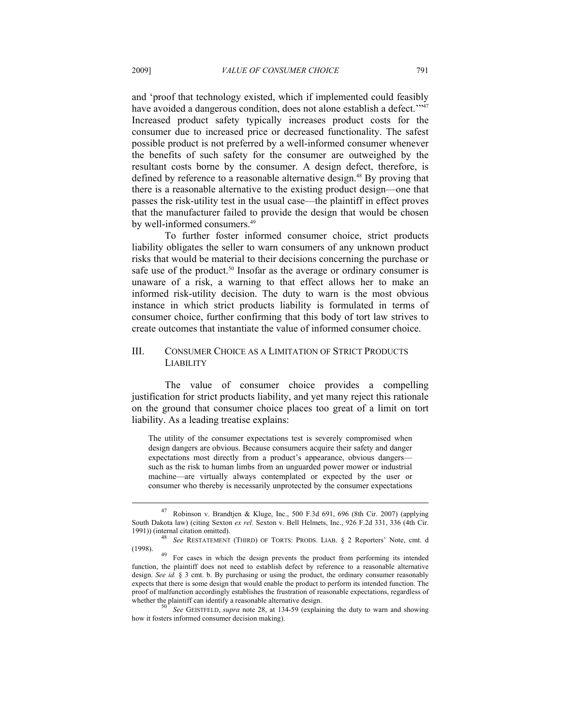and 'proof that technology existed, which if implemented could feasibly have avoided a dangerous condition, does not alone establish a defect."<sup>2747</sup> Increased product safety typically increases product costs for the consumer due to increased price or decreased functionality. The safest possible product is not preferred by a well-informed consumer whenever the benefits of such safety for the consumer are outweighed by the resultant costs borne by the consumer. A design defect, therefore, is defined by reference to a reasonable alternative design.<sup>48</sup> By proving that there is a reasonable alternative to the existing product design—one that passes the risk-utility test in the usual case—the plaintiff in effect proves that the manufacturer failed to provide the design that would be chosen by well-informed consumers.<sup>49</sup>

To further foster informed consumer choice, strict products liability obligates the seller to warn consumers of any unknown product risks that would be material to their decisions concerning the purchase or safe use of the product.<sup>50</sup> Insofar as the average or ordinary consumer is unaware of a risk, a warning to that effect allows her to make an informed risk-utility decision. The duty to warn is the most obvious instance in which strict products liability is formulated in terms of consumer choice, further confirming that this body of tort law strives to create outcomes that instantiate the value of informed consumer choice.

# III. CONSUMER CHOICE AS A LIMITATION OF STRICT PRODUCTS LIABILITY

The value of consumer choice provides a compelling justification for strict products liability, and yet many reject this rationale on the ground that consumer choice places too great of a limit on tort liability. As a leading treatise explains:

The utility of the consumer expectations test is severely compromised when design dangers are obvious. Because consumers acquire their safety and danger expectations most directly from a product's appearance, obvious dangers such as the risk to human limbs from an unguarded power mower or industrial machine—are virtually always contemplated or expected by the user or consumer who thereby is necessarily unprotected by the consumer expectations

<sup>47</sup> Robinson v. Brandtjen & Kluge, Inc., 500 F.3d 691, 696 (8th Cir. 2007) (applying South Dakota law) (citing Sexton *ex rel.* Sexton v. Bell Helmets, Inc., 926 F.2d 331, 336 (4th Cir.

<sup>1991)) (</sup>internal citation omitted). 48 *See* RESTATEMENT (THIRD) OF TORTS: PRODS. LIAB. § 2 Reporters' Note, cmt. d

<sup>&</sup>lt;sup>49</sup> For cases in which the design prevents the product from performing its intended function, the plaintiff does not need to establish defect by reference to a reasonable alternative design. *See id.* § 3 cmt. b. By purchasing or using the product, the ordinary consumer reasonably expects that there is some design that would enable the product to perform its intended function. The proof of malfunction accordingly establishes the frustration of reasonable expectations, regardless of whether the plaintiff can identify a reasonable alternative design.<br><sup>50</sup> *See* GEISTFELD, *supra* note 28, at 134-59 (explaining the duty to warn and showing

how it fosters informed consumer decision making).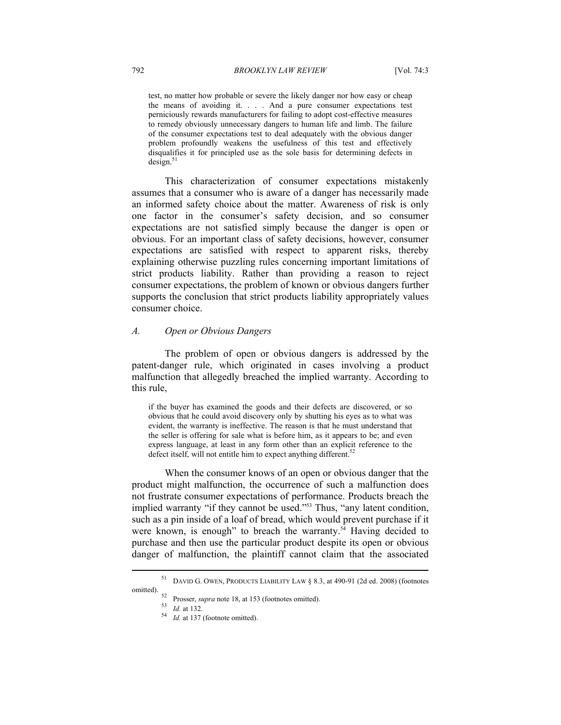test, no matter how probable or severe the likely danger nor how easy or cheap the means of avoiding it. . . . And a pure consumer expectations test perniciously rewards manufacturers for failing to adopt cost-effective measures to remedy obviously unnecessary dangers to human life and limb. The failure of the consumer expectations test to deal adequately with the obvious danger problem profoundly weakens the usefulness of this test and effectively disqualifies it for principled use as the sole basis for determining defects in  $design.<sup>51</sup>$ 

This characterization of consumer expectations mistakenly assumes that a consumer who is aware of a danger has necessarily made an informed safety choice about the matter. Awareness of risk is only one factor in the consumer's safety decision, and so consumer expectations are not satisfied simply because the danger is open or obvious. For an important class of safety decisions, however, consumer expectations are satisfied with respect to apparent risks, thereby explaining otherwise puzzling rules concerning important limitations of strict products liability. Rather than providing a reason to reject consumer expectations, the problem of known or obvious dangers further supports the conclusion that strict products liability appropriately values consumer choice.

## *A. Open or Obvious Dangers*

The problem of open or obvious dangers is addressed by the patent-danger rule, which originated in cases involving a product malfunction that allegedly breached the implied warranty. According to this rule,

if the buyer has examined the goods and their defects are discovered, or so obvious that he could avoid discovery only by shutting his eyes as to what was evident, the warranty is ineffective. The reason is that he must understand that the seller is offering for sale what is before him, as it appears to be; and even express language, at least in any form other than an explicit reference to the defect itself, will not entitle him to expect anything different.<sup>52</sup>

When the consumer knows of an open or obvious danger that the product might malfunction, the occurrence of such a malfunction does not frustrate consumer expectations of performance. Products breach the implied warranty "if they cannot be used."<sup>53</sup> Thus, "any latent condition, such as a pin inside of a loaf of bread, which would prevent purchase if it were known, is enough" to breach the warranty.<sup>54</sup> Having decided to purchase and then use the particular product despite its open or obvious danger of malfunction, the plaintiff cannot claim that the associated

DAVID G. OWEN, PRODUCTS LIABILITY LAW § 8.3, at 490-91 (2d ed. 2008) (footnotes

omitted).<br>
<sup>52</sup> Prosser, *supra* note 18, at 153 (footnotes omitted).<br>
<sup>53</sup> *Id.* at 137 (footnote omitted).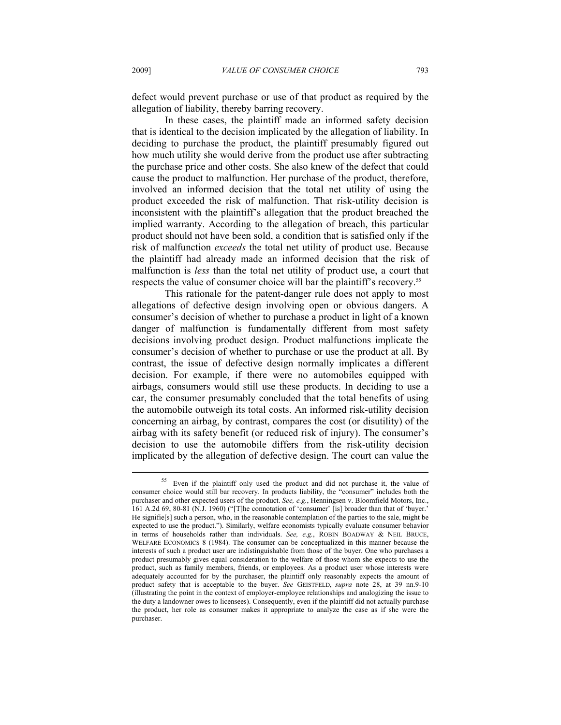defect would prevent purchase or use of that product as required by the allegation of liability, thereby barring recovery.

In these cases, the plaintiff made an informed safety decision that is identical to the decision implicated by the allegation of liability. In deciding to purchase the product, the plaintiff presumably figured out how much utility she would derive from the product use after subtracting the purchase price and other costs. She also knew of the defect that could cause the product to malfunction. Her purchase of the product, therefore, involved an informed decision that the total net utility of using the product exceeded the risk of malfunction. That risk-utility decision is inconsistent with the plaintiff's allegation that the product breached the implied warranty. According to the allegation of breach, this particular product should not have been sold, a condition that is satisfied only if the risk of malfunction *exceeds* the total net utility of product use. Because the plaintiff had already made an informed decision that the risk of malfunction is *less* than the total net utility of product use, a court that respects the value of consumer choice will bar the plaintiff's recovery.<sup>55</sup>

This rationale for the patent-danger rule does not apply to most allegations of defective design involving open or obvious dangers. A consumer's decision of whether to purchase a product in light of a known danger of malfunction is fundamentally different from most safety decisions involving product design. Product malfunctions implicate the consumer's decision of whether to purchase or use the product at all. By contrast, the issue of defective design normally implicates a different decision. For example, if there were no automobiles equipped with airbags, consumers would still use these products. In deciding to use a car, the consumer presumably concluded that the total benefits of using the automobile outweigh its total costs. An informed risk-utility decision concerning an airbag, by contrast, compares the cost (or disutility) of the airbag with its safety benefit (or reduced risk of injury). The consumer's decision to use the automobile differs from the risk-utility decision implicated by the allegation of defective design. The court can value the

55 Even if the plaintiff only used the product and did not purchase it, the value of consumer choice would still bar recovery. In products liability, the "consumer" includes both the purchaser and other expected users of the product. *See, e.g.*, Henningsen v. Bloomfield Motors, Inc., 161 A.2d 69, 80-81 (N.J. 1960) ("[T]he connotation of 'consumer' [is] broader than that of 'buyer.' He signifie[s] such a person, who, in the reasonable contemplation of the parties to the sale, might be expected to use the product."). Similarly, welfare economists typically evaluate consumer behavior in terms of households rather than individuals. *See, e.g.*, ROBIN BOADWAY & NEIL BRUCE, WELFARE ECONOMICS 8 (1984). The consumer can be conceptualized in this manner because the interests of such a product user are indistinguishable from those of the buyer. One who purchases a product presumably gives equal consideration to the welfare of those whom she expects to use the product, such as family members, friends, or employees. As a product user whose interests were adequately accounted for by the purchaser, the plaintiff only reasonably expects the amount of product safety that is acceptable to the buyer. *See* GEISTFELD, *supra* note 28, at 39 nn.9-10 (illustrating the point in the context of employer-employee relationships and analogizing the issue to the duty a landowner owes to licensees). Consequently, even if the plaintiff did not actually purchase the product, her role as consumer makes it appropriate to analyze the case as if she were the purchaser.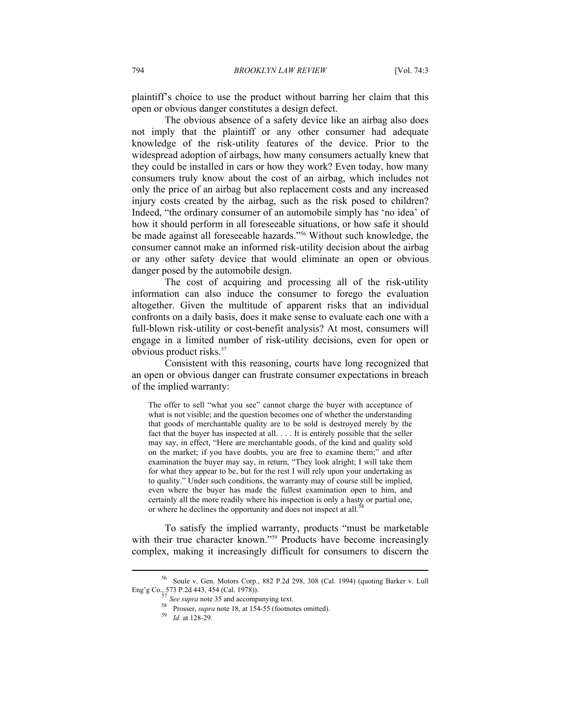plaintiff's choice to use the product without barring her claim that this open or obvious danger constitutes a design defect.

The obvious absence of a safety device like an airbag also does not imply that the plaintiff or any other consumer had adequate knowledge of the risk-utility features of the device. Prior to the widespread adoption of airbags, how many consumers actually knew that they could be installed in cars or how they work? Even today, how many consumers truly know about the cost of an airbag, which includes not only the price of an airbag but also replacement costs and any increased injury costs created by the airbag, such as the risk posed to children? Indeed, "the ordinary consumer of an automobile simply has 'no idea' of how it should perform in all foreseeable situations, or how safe it should be made against all foreseeable hazards."56 Without such knowledge, the consumer cannot make an informed risk-utility decision about the airbag or any other safety device that would eliminate an open or obvious danger posed by the automobile design.

The cost of acquiring and processing all of the risk-utility information can also induce the consumer to forego the evaluation altogether. Given the multitude of apparent risks that an individual confronts on a daily basis, does it make sense to evaluate each one with a full-blown risk-utility or cost-benefit analysis? At most, consumers will engage in a limited number of risk-utility decisions, even for open or obvious product risks.<sup>57</sup>

Consistent with this reasoning, courts have long recognized that an open or obvious danger can frustrate consumer expectations in breach of the implied warranty:

The offer to sell "what you see" cannot charge the buyer with acceptance of what is not visible; and the question becomes one of whether the understanding that goods of merchantable quality are to be sold is destroyed merely by the fact that the buyer has inspected at all. . . . It is entirely possible that the seller may say, in effect, "Here are merchantable goods, of the kind and quality sold on the market; if you have doubts, you are free to examine them;" and after examination the buyer may say, in return, "They look alright; I will take them for what they appear to be, but for the rest I will rely upon your undertaking as to quality." Under such conditions, the warranty may of course still be implied, even where the buyer has made the fullest examination open to him, and certainly all the more readily where his inspection is only a hasty or partial one, or where he declines the opportunity and does not inspect at all.<sup>5</sup>

To satisfy the implied warranty, products "must be marketable with their true character known."<sup>59</sup> Products have become increasingly complex, making it increasingly difficult for consumers to discern the

<sup>56</sup> Soule v. Gen. Motors Corp., 882 P.2d 298, 308 (Cal. 1994) (quoting Barker v. Lull Eng'g Co., 573 P.2d 443, 454 (Cal. 1978)).<br>
57 See supra note 35 and accompanying text.

<sup>58</sup> Prosser, *supra* note 35 and according text. 59 *Id.* at 128-29.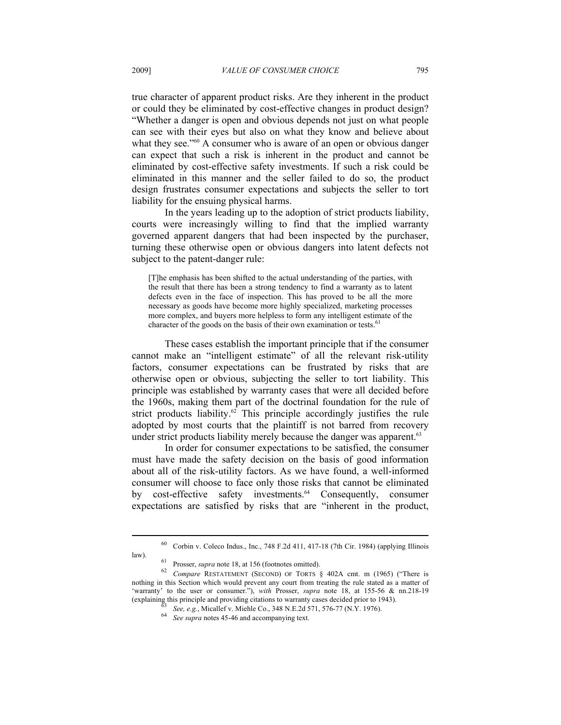true character of apparent product risks. Are they inherent in the product or could they be eliminated by cost-effective changes in product design? "Whether a danger is open and obvious depends not just on what people can see with their eyes but also on what they know and believe about what they see."<sup>60</sup> A consumer who is aware of an open or obvious danger can expect that such a risk is inherent in the product and cannot be eliminated by cost-effective safety investments. If such a risk could be eliminated in this manner and the seller failed to do so, the product design frustrates consumer expectations and subjects the seller to tort liability for the ensuing physical harms.

In the years leading up to the adoption of strict products liability, courts were increasingly willing to find that the implied warranty governed apparent dangers that had been inspected by the purchaser, turning these otherwise open or obvious dangers into latent defects not subject to the patent-danger rule:

[T]he emphasis has been shifted to the actual understanding of the parties, with the result that there has been a strong tendency to find a warranty as to latent defects even in the face of inspection. This has proved to be all the more necessary as goods have become more highly specialized, marketing processes more complex, and buyers more helpless to form any intelligent estimate of the character of the goods on the basis of their own examination or tests.<sup>61</sup>

These cases establish the important principle that if the consumer cannot make an "intelligent estimate" of all the relevant risk-utility factors, consumer expectations can be frustrated by risks that are otherwise open or obvious, subjecting the seller to tort liability. This principle was established by warranty cases that were all decided before the 1960s, making them part of the doctrinal foundation for the rule of strict products liability.<sup>62</sup> This principle accordingly justifies the rule adopted by most courts that the plaintiff is not barred from recovery under strict products liability merely because the danger was apparent.<sup>63</sup>

In order for consumer expectations to be satisfied, the consumer must have made the safety decision on the basis of good information about all of the risk-utility factors. As we have found, a well-informed consumer will choose to face only those risks that cannot be eliminated by cost-effective safety investments.<sup>64</sup> Consequently, consumer expectations are satisfied by risks that are "inherent in the product,

<sup>60</sup> Corbin v. Coleco Indus., Inc., 748 F.2d 411, 417-18 (7th Cir. 1984) (applying Illinois

law). 61 Prosser, *supra* note 18, at 156 (footnotes omitted). 62 *Compare* RESTATEMENT (SECOND) OF TORTS § 402A cmt. m (1965) ("There is nothing in this Section which would prevent any court from treating the rule stated as a matter of 'warranty' to the user or consumer."), *with* Prosser, *supra* note 18, at 155-56 & nn.218-19 (explaining this principle and providing citations to warranty cases decided prior to 1943).

 $^{63}$  See, e.g., Micallef v. Miehle Co., 348 N.E.2d 571, 576-77 (N.Y. 1976).<br>
See supra notes 45-46 and accompanying text.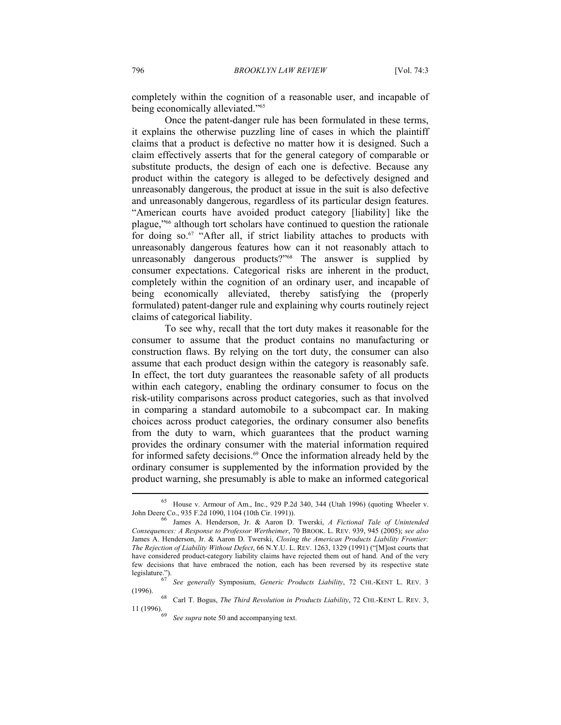completely within the cognition of a reasonable user, and incapable of being economically alleviated."65

Once the patent-danger rule has been formulated in these terms, it explains the otherwise puzzling line of cases in which the plaintiff claims that a product is defective no matter how it is designed. Such a claim effectively asserts that for the general category of comparable or substitute products, the design of each one is defective. Because any product within the category is alleged to be defectively designed and unreasonably dangerous, the product at issue in the suit is also defective and unreasonably dangerous, regardless of its particular design features. "American courts have avoided product category [liability] like the plague,"66 although tort scholars have continued to question the rationale for doing so. $67$  "After all, if strict liability attaches to products with unreasonably dangerous features how can it not reasonably attach to unreasonably dangerous products?"<sup>68</sup> The answer is supplied by consumer expectations. Categorical risks are inherent in the product, completely within the cognition of an ordinary user, and incapable of being economically alleviated, thereby satisfying the (properly formulated) patent-danger rule and explaining why courts routinely reject claims of categorical liability.

To see why, recall that the tort duty makes it reasonable for the consumer to assume that the product contains no manufacturing or construction flaws. By relying on the tort duty, the consumer can also assume that each product design within the category is reasonably safe. In effect, the tort duty guarantees the reasonable safety of all products within each category, enabling the ordinary consumer to focus on the risk-utility comparisons across product categories, such as that involved in comparing a standard automobile to a subcompact car. In making choices across product categories, the ordinary consumer also benefits from the duty to warn, which guarantees that the product warning provides the ordinary consumer with the material information required for informed safety decisions.<sup>69</sup> Once the information already held by the ordinary consumer is supplemented by the information provided by the product warning, she presumably is able to make an informed categorical

<sup>&</sup>lt;sup>65</sup> House v. Armour of Am., Inc., 929 P.2d 340, 344 (Utah 1996) (quoting Wheeler v. John Deere Co., 935 F.2d 1090, 1104 (10th Cir. 1991)).

James A. Henderson, Jr. & Aaron D. Twerski, *A Fictional Tale of Unintended Consequences: A Response to Professor Wertheimer*, 70 BROOK. L. REV. 939, 945 (2005); *see also* James A. Henderson, Jr. & Aaron D. Twerski, *Closing the American Products Liability Frontier: The Rejection of Liability Without Defect*, 66 N.Y.U. L. REV. 1263, 1329 (1991) ("[M]ost courts that have considered product-category liability claims have rejected them out of hand. And of the very few decisions that have embraced the notion, each has been reversed by its respective state legislature.").

<sup>&</sup>lt;sup>6</sup> *See generally Symposium, Generic Products Liability*, 72 CHI.-KENT L. REV. 3 (1996).

<sup>(1996). 68</sup> Carl T. Bogus, *The Third Revolution in Products Liability*, 72 CHI.-KENT L. REV. 3,

See supra note 50 and accompanying text.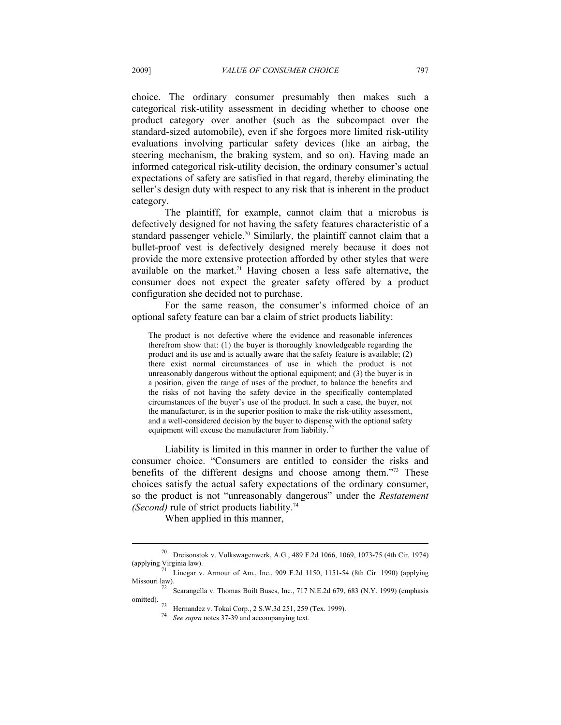choice. The ordinary consumer presumably then makes such a categorical risk-utility assessment in deciding whether to choose one product category over another (such as the subcompact over the standard-sized automobile), even if she forgoes more limited risk-utility evaluations involving particular safety devices (like an airbag, the steering mechanism, the braking system, and so on). Having made an informed categorical risk-utility decision, the ordinary consumer's actual expectations of safety are satisfied in that regard, thereby eliminating the seller's design duty with respect to any risk that is inherent in the product category.

The plaintiff, for example, cannot claim that a microbus is defectively designed for not having the safety features characteristic of a standard passenger vehicle.<sup>70</sup> Similarly, the plaintiff cannot claim that a bullet-proof vest is defectively designed merely because it does not provide the more extensive protection afforded by other styles that were available on the market.<sup>71</sup> Having chosen a less safe alternative, the consumer does not expect the greater safety offered by a product configuration she decided not to purchase.

For the same reason, the consumer's informed choice of an optional safety feature can bar a claim of strict products liability:

The product is not defective where the evidence and reasonable inferences therefrom show that: (1) the buyer is thoroughly knowledgeable regarding the product and its use and is actually aware that the safety feature is available; (2) there exist normal circumstances of use in which the product is not unreasonably dangerous without the optional equipment; and (3) the buyer is in a position, given the range of uses of the product, to balance the benefits and the risks of not having the safety device in the specifically contemplated circumstances of the buyer's use of the product. In such a case, the buyer, not the manufacturer, is in the superior position to make the risk-utility assessment, and a well-considered decision by the buyer to dispense with the optional safety equipment will excuse the manufacturer from liability.

Liability is limited in this manner in order to further the value of consumer choice. "Consumers are entitled to consider the risks and benefits of the different designs and choose among them."73 These choices satisfy the actual safety expectations of the ordinary consumer, so the product is not "unreasonably dangerous" under the *Restatement (Second)* rule of strict products liability.<sup>74</sup>

When applied in this manner,

<sup>70</sup> Dreisonstok v. Volkswagenwerk, A.G., 489 F.2d 1066, 1069, 1073-75 (4th Cir. 1974)

<sup>(</sup>applying Virginia law).<br>  $\frac{71}{11}$  Linegar v. Armour of Am., Inc., 909 F.2d 1150, 1151-54 (8th Cir. 1990) (applying Missouri law).

<sup>&</sup>lt;sup>72</sup> Scarangella v. Thomas Built Buses, Inc., 717 N.E.2d 679, 683 (N.Y. 1999) (emphasis omitted).<br> *T*3 Hernandez v. Tokai Corp., 2 S.W.3d 251, 259 (Tex. 1999).

<sup>74</sup> *See supra* notes 37-39 and accompanying text.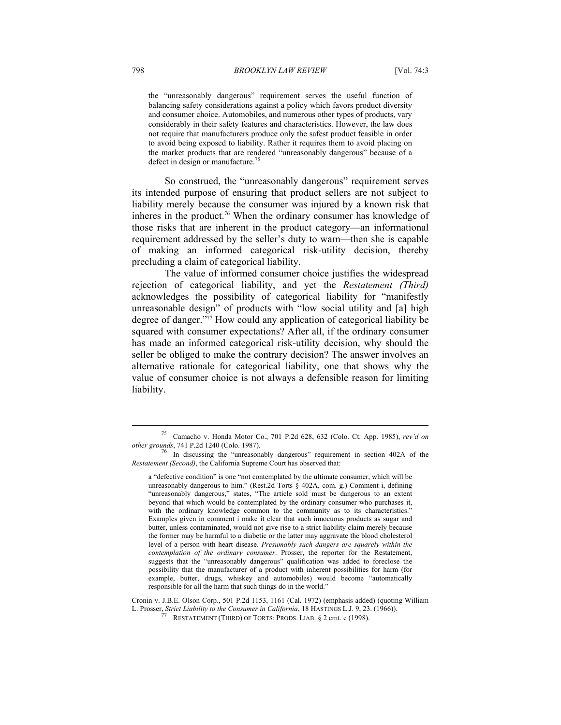the "unreasonably dangerous" requirement serves the useful function of balancing safety considerations against a policy which favors product diversity and consumer choice. Automobiles, and numerous other types of products, vary considerably in their safety features and characteristics. However, the law does not require that manufacturers produce only the safest product feasible in order to avoid being exposed to liability. Rather it requires them to avoid placing on the market products that are rendered "unreasonably dangerous" because of a defect in design or manufacture.<sup>75</sup>

So construed, the "unreasonably dangerous" requirement serves its intended purpose of ensuring that product sellers are not subject to liability merely because the consumer was injured by a known risk that inheres in the product.<sup>76</sup> When the ordinary consumer has knowledge of those risks that are inherent in the product category—an informational requirement addressed by the seller's duty to warn—then she is capable of making an informed categorical risk-utility decision, thereby precluding a claim of categorical liability.

The value of informed consumer choice justifies the widespread rejection of categorical liability, and yet the *Restatement (Third)* acknowledges the possibility of categorical liability for "manifestly unreasonable design" of products with "low social utility and [a] high degree of danger."77 How could any application of categorical liability be squared with consumer expectations? After all, if the ordinary consumer has made an informed categorical risk-utility decision, why should the seller be obliged to make the contrary decision? The answer involves an alternative rationale for categorical liability, one that shows why the value of consumer choice is not always a defensible reason for limiting liability.

<sup>75</sup> Camacho v. Honda Motor Co., 701 P.2d 628, 632 (Colo. Ct. App. 1985), *rev'd on* 

*other grounds*, 741 P.2d 1240 (Colo. 1987).<br><sup>76</sup> In discussing the "unreasonably dangerous" requirement in section 402A of the *Restatement (Second)*, the California Supreme Court has observed that:

a "defective condition" is one "not contemplated by the ultimate consumer, which will be unreasonably dangerous to him." (Rest.2d Torts § 402A, com. g.) Comment i, defining "unreasonably dangerous," states, "The article sold must be dangerous to an extent beyond that which would be contemplated by the ordinary consumer who purchases it, with the ordinary knowledge common to the community as to its characteristics." Examples given in comment i make it clear that such innocuous products as sugar and butter, unless contaminated, would not give rise to a strict liability claim merely because the former may be harmful to a diabetic or the latter may aggravate the blood cholesterol level of a person with heart disease. *Presumably such dangers are squarely within the contemplation of the ordinary consumer*. Prosser, the reporter for the Restatement, suggests that the "unreasonably dangerous" qualification was added to foreclose the possibility that the manufacturer of a product with inherent possibilities for harm (for example, butter, drugs, whiskey and automobiles) would become "automatically responsible for all the harm that such things do in the world."

Cronin v. J.B.E. Olson Corp., 501 P.2d 1153, 1161 (Cal. 1972) (emphasis added) (quoting William L. Prosser, *Strict Liability to the Consumer in California*, 18 HASTINGS L.J. 9, 23. (1966)).<br><sup>77</sup> RESTATEMENT (THIRD) OF TORTS: PRODS. LIAB. § 2 cmt. e (1998).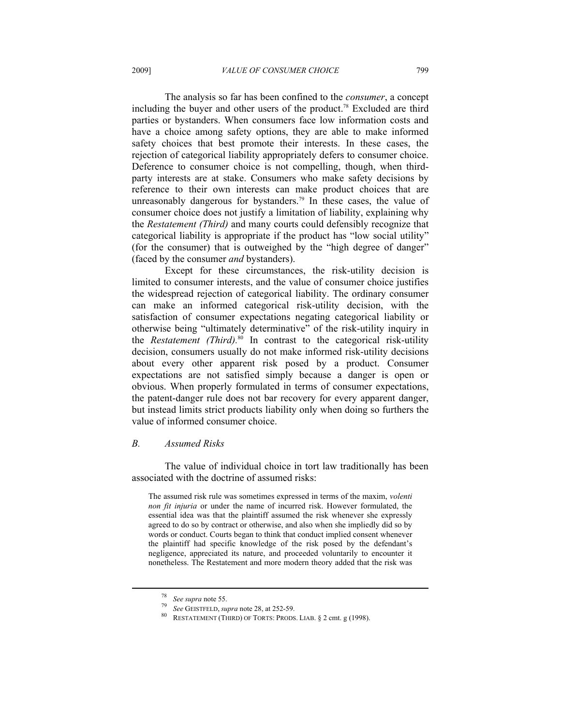The analysis so far has been confined to the *consumer*, a concept including the buyer and other users of the product.<sup>78</sup> Excluded are third parties or bystanders. When consumers face low information costs and have a choice among safety options, they are able to make informed safety choices that best promote their interests. In these cases, the rejection of categorical liability appropriately defers to consumer choice. Deference to consumer choice is not compelling, though, when thirdparty interests are at stake. Consumers who make safety decisions by reference to their own interests can make product choices that are unreasonably dangerous for bystanders.<sup>79</sup> In these cases, the value of consumer choice does not justify a limitation of liability, explaining why the *Restatement (Third)* and many courts could defensibly recognize that categorical liability is appropriate if the product has "low social utility" (for the consumer) that is outweighed by the "high degree of danger" (faced by the consumer *and* bystanders).

Except for these circumstances, the risk-utility decision is limited to consumer interests, and the value of consumer choice justifies the widespread rejection of categorical liability. The ordinary consumer can make an informed categorical risk-utility decision, with the satisfaction of consumer expectations negating categorical liability or otherwise being "ultimately determinative" of the risk-utility inquiry in the *Restatement (Third).*80 In contrast to the categorical risk-utility decision, consumers usually do not make informed risk-utility decisions about every other apparent risk posed by a product. Consumer expectations are not satisfied simply because a danger is open or obvious. When properly formulated in terms of consumer expectations, the patent-danger rule does not bar recovery for every apparent danger, but instead limits strict products liability only when doing so furthers the value of informed consumer choice.

#### *B. Assumed Risks*

The value of individual choice in tort law traditionally has been associated with the doctrine of assumed risks:

The assumed risk rule was sometimes expressed in terms of the maxim, *volenti non fit injuria* or under the name of incurred risk. However formulated, the essential idea was that the plaintiff assumed the risk whenever she expressly agreed to do so by contract or otherwise, and also when she impliedly did so by words or conduct. Courts began to think that conduct implied consent whenever the plaintiff had specific knowledge of the risk posed by the defendant's negligence, appreciated its nature, and proceeded voluntarily to encounter it nonetheless. The Restatement and more modern theory added that the risk was

<sup>78</sup> *See supra* note 55. 79 *See* GEISTFELD, *supra* note 28, at 252-59. 80 RESTATEMENT (THIRD) OF TORTS: PRODS. LIAB. § 2 cmt. g (1998).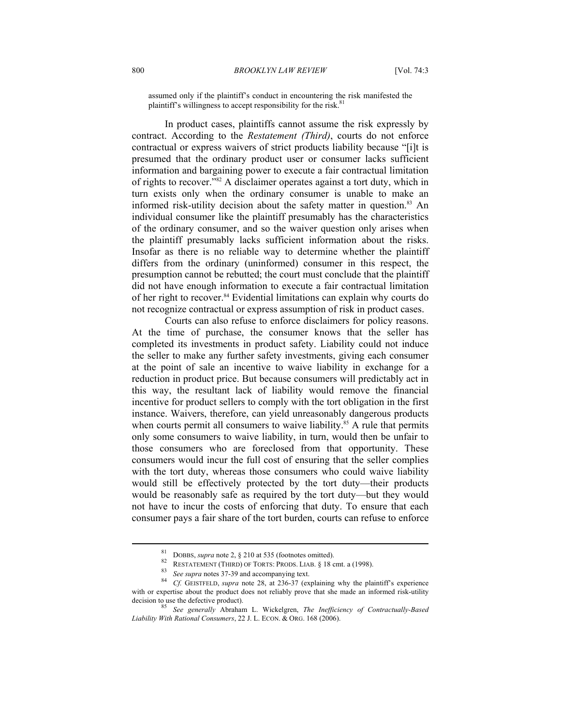assumed only if the plaintiff's conduct in encountering the risk manifested the plaintiff's willingness to accept responsibility for the risk.<sup>81</sup>

In product cases, plaintiffs cannot assume the risk expressly by contract. According to the *Restatement (Third)*, courts do not enforce contractual or express waivers of strict products liability because "[i]t is presumed that the ordinary product user or consumer lacks sufficient information and bargaining power to execute a fair contractual limitation of rights to recover."82 A disclaimer operates against a tort duty, which in turn exists only when the ordinary consumer is unable to make an informed risk-utility decision about the safety matter in question.<sup>83</sup> An individual consumer like the plaintiff presumably has the characteristics of the ordinary consumer, and so the waiver question only arises when the plaintiff presumably lacks sufficient information about the risks. Insofar as there is no reliable way to determine whether the plaintiff differs from the ordinary (uninformed) consumer in this respect, the presumption cannot be rebutted; the court must conclude that the plaintiff did not have enough information to execute a fair contractual limitation of her right to recover.84 Evidential limitations can explain why courts do not recognize contractual or express assumption of risk in product cases.

Courts can also refuse to enforce disclaimers for policy reasons. At the time of purchase, the consumer knows that the seller has completed its investments in product safety. Liability could not induce the seller to make any further safety investments, giving each consumer at the point of sale an incentive to waive liability in exchange for a reduction in product price. But because consumers will predictably act in this way, the resultant lack of liability would remove the financial incentive for product sellers to comply with the tort obligation in the first instance. Waivers, therefore, can yield unreasonably dangerous products when courts permit all consumers to waive liability.<sup>85</sup> A rule that permits only some consumers to waive liability, in turn, would then be unfair to those consumers who are foreclosed from that opportunity. These consumers would incur the full cost of ensuring that the seller complies with the tort duty, whereas those consumers who could waive liability would still be effectively protected by the tort duty—their products would be reasonably safe as required by the tort duty—but they would not have to incur the costs of enforcing that duty. To ensure that each consumer pays a fair share of the tort burden, courts can refuse to enforce

<sup>&</sup>lt;sup>81</sup> DOBBS, *supra* note 2, § 210 at 535 (footnotes omitted).<br><sup>82</sup> RESTATEMENT (THIRD) OF TORTS: PRODS. LIAB. § 18 cmt. a (1998).<br><sup>83</sup> *See supra* notes 37-39 and accompanying text.<br><sup>84</sup> *Cf.* GEISTFELD, *supra* note 28, with or expertise about the product does not reliably prove that she made an informed risk-utility decision to use the defective product).<br>
<sup>85</sup> See a generally Abrillian L. With the C. C. C. C. C. C. C. C. C. C. C. C. C.

decision to use the defective product). 85 *See generally* Abraham L. Wickelgren, *The Inefficiency of Contractually-Based Liability With Rational Consumers*, 22 J. L. ECON. & ORG. 168 (2006).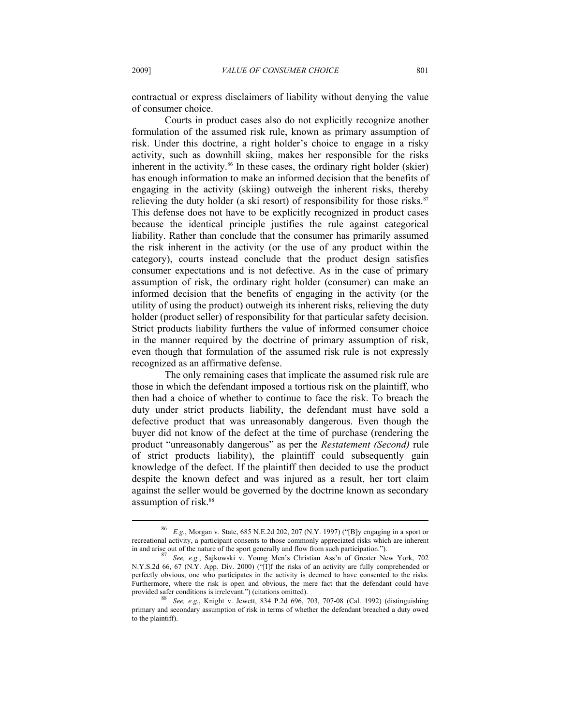contractual or express disclaimers of liability without denying the value of consumer choice.

Courts in product cases also do not explicitly recognize another formulation of the assumed risk rule, known as primary assumption of risk. Under this doctrine, a right holder's choice to engage in a risky activity, such as downhill skiing, makes her responsible for the risks inherent in the activity.<sup>86</sup> In these cases, the ordinary right holder (skier) has enough information to make an informed decision that the benefits of engaging in the activity (skiing) outweigh the inherent risks, thereby relieving the duty holder (a ski resort) of responsibility for those risks. $87$ This defense does not have to be explicitly recognized in product cases because the identical principle justifies the rule against categorical liability. Rather than conclude that the consumer has primarily assumed the risk inherent in the activity (or the use of any product within the category), courts instead conclude that the product design satisfies consumer expectations and is not defective. As in the case of primary assumption of risk, the ordinary right holder (consumer) can make an informed decision that the benefits of engaging in the activity (or the utility of using the product) outweigh its inherent risks, relieving the duty holder (product seller) of responsibility for that particular safety decision. Strict products liability furthers the value of informed consumer choice in the manner required by the doctrine of primary assumption of risk, even though that formulation of the assumed risk rule is not expressly recognized as an affirmative defense.

The only remaining cases that implicate the assumed risk rule are those in which the defendant imposed a tortious risk on the plaintiff, who then had a choice of whether to continue to face the risk. To breach the duty under strict products liability, the defendant must have sold a defective product that was unreasonably dangerous. Even though the buyer did not know of the defect at the time of purchase (rendering the product "unreasonably dangerous" as per the *Restatement (Second)* rule of strict products liability), the plaintiff could subsequently gain knowledge of the defect. If the plaintiff then decided to use the product despite the known defect and was injured as a result, her tort claim against the seller would be governed by the doctrine known as secondary assumption of risk.<sup>88</sup>

<sup>86</sup> *E.g.*, Morgan v. State, 685 N.E.2d 202, 207 (N.Y. 1997) ("[B]y engaging in a sport or recreational activity, a participant consents to those commonly appreciated risks which are inherent in and arise out of the nature of the sport generally and flow from such participation.").

See, e.g., Sajkowski v. Young Men's Christian Ass'n of Greater New York, 702 N.Y.S.2d 66, 67 (N.Y. App. Div. 2000) ("[I]f the risks of an activity are fully comprehended or perfectly obvious, one who participates in the activity is deemed to have consented to the risks. Furthermore, where the risk is open and obvious, the mere fact that the defendant could have provided safer conditions is irrelevant.") (citations omitted). 88 *See, e.g.*, Knight v. Jewett, 834 P.2d 696, 703, 707-08 (Cal. 1992) (distinguishing

primary and secondary assumption of risk in terms of whether the defendant breached a duty owed to the plaintiff).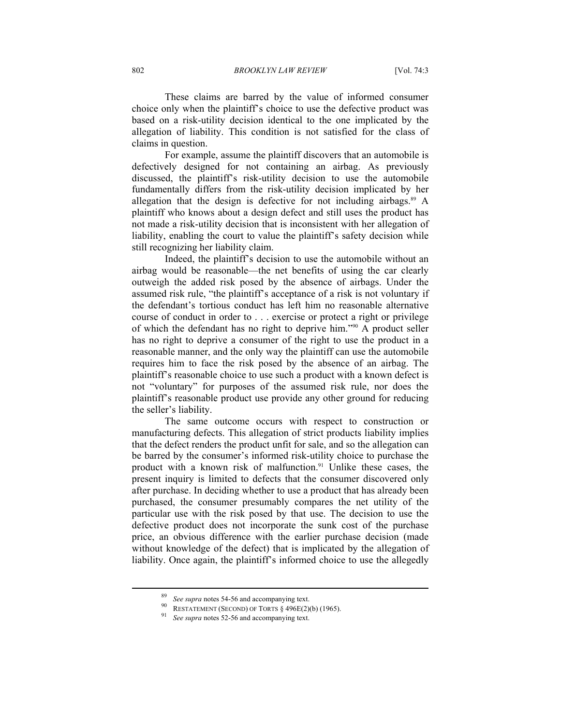These claims are barred by the value of informed consumer choice only when the plaintiff's choice to use the defective product was based on a risk-utility decision identical to the one implicated by the allegation of liability. This condition is not satisfied for the class of claims in question.

For example, assume the plaintiff discovers that an automobile is defectively designed for not containing an airbag. As previously discussed, the plaintiff's risk-utility decision to use the automobile fundamentally differs from the risk-utility decision implicated by her allegation that the design is defective for not including airbags. $89$  A plaintiff who knows about a design defect and still uses the product has not made a risk-utility decision that is inconsistent with her allegation of liability, enabling the court to value the plaintiff's safety decision while still recognizing her liability claim.

Indeed, the plaintiff's decision to use the automobile without an airbag would be reasonable—the net benefits of using the car clearly outweigh the added risk posed by the absence of airbags. Under the assumed risk rule, "the plaintiff's acceptance of a risk is not voluntary if the defendant's tortious conduct has left him no reasonable alternative course of conduct in order to . . . exercise or protect a right or privilege of which the defendant has no right to deprive him."90 A product seller has no right to deprive a consumer of the right to use the product in a reasonable manner, and the only way the plaintiff can use the automobile requires him to face the risk posed by the absence of an airbag. The plaintiff's reasonable choice to use such a product with a known defect is not "voluntary" for purposes of the assumed risk rule, nor does the plaintiff's reasonable product use provide any other ground for reducing the seller's liability.

The same outcome occurs with respect to construction or manufacturing defects. This allegation of strict products liability implies that the defect renders the product unfit for sale, and so the allegation can be barred by the consumer's informed risk-utility choice to purchase the product with a known risk of malfunction.<sup>91</sup> Unlike these cases, the present inquiry is limited to defects that the consumer discovered only after purchase. In deciding whether to use a product that has already been purchased, the consumer presumably compares the net utility of the particular use with the risk posed by that use. The decision to use the defective product does not incorporate the sunk cost of the purchase price, an obvious difference with the earlier purchase decision (made without knowledge of the defect) that is implicated by the allegation of liability. Once again, the plaintiff's informed choice to use the allegedly

<sup>89</sup> *See supra* notes 54-56 and accompanying text. 90 RESTATEMENT (SECOND) OF TORTS § 496E(2)(b) (1965). 91 *See supra* notes 52-56 and accompanying text.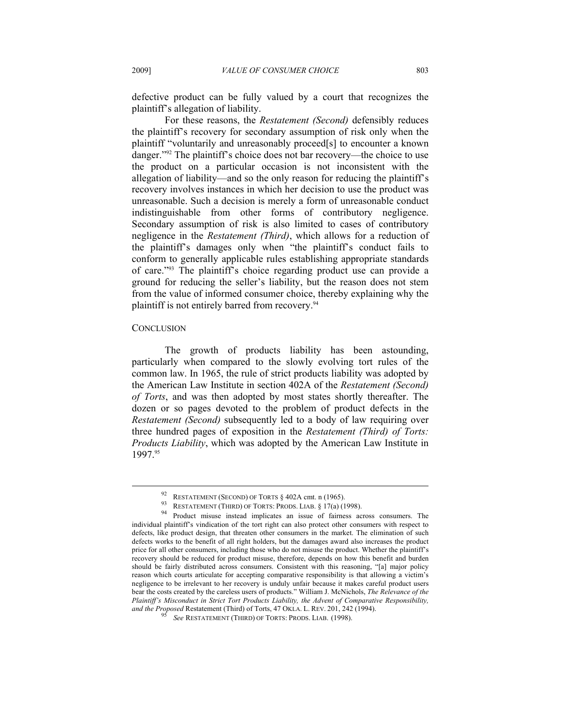defective product can be fully valued by a court that recognizes the plaintiff's allegation of liability.

For these reasons, the *Restatement (Second)* defensibly reduces the plaintiff's recovery for secondary assumption of risk only when the plaintiff "voluntarily and unreasonably proceed[s] to encounter a known danger."92 The plaintiff's choice does not bar recovery—the choice to use the product on a particular occasion is not inconsistent with the allegation of liability—and so the only reason for reducing the plaintiff's recovery involves instances in which her decision to use the product was unreasonable. Such a decision is merely a form of unreasonable conduct indistinguishable from other forms of contributory negligence. Secondary assumption of risk is also limited to cases of contributory negligence in the *Restatement (Third)*, which allows for a reduction of the plaintiff's damages only when "the plaintiff's conduct fails to conform to generally applicable rules establishing appropriate standards of care."93 The plaintiff's choice regarding product use can provide a ground for reducing the seller's liability, but the reason does not stem from the value of informed consumer choice, thereby explaining why the plaintiff is not entirely barred from recovery.<sup>94</sup>

### **CONCLUSION**

 $\overline{a}$ 

The growth of products liability has been astounding, particularly when compared to the slowly evolving tort rules of the common law. In 1965, the rule of strict products liability was adopted by the American Law Institute in section 402A of the *Restatement (Second) of Torts*, and was then adopted by most states shortly thereafter. The dozen or so pages devoted to the problem of product defects in the *Restatement (Second)* subsequently led to a body of law requiring over three hundred pages of exposition in the *Restatement (Third) of Torts: Products Liability*, which was adopted by the American Law Institute in 1997.95

<sup>92</sup> RESTATEMENT (SECOND) OF TORTS § 402A cmt. n (1965).<br>
93 RESTATEMENT (THIRD) OF TORTS: PRODS. LIAB. § 17(a) (1998).<br>
94 Product misuse instead implicates an issue of fairness across consumers. The individual plaintiff's vindication of the tort right can also protect other consumers with respect to defects, like product design, that threaten other consumers in the market. The elimination of such defects works to the benefit of all right holders, but the damages award also increases the product price for all other consumers, including those who do not misuse the product. Whether the plaintiff's recovery should be reduced for product misuse, therefore, depends on how this benefit and burden should be fairly distributed across consumers. Consistent with this reasoning, "[a] major policy reason which courts articulate for accepting comparative responsibility is that allowing a victim's negligence to be irrelevant to her recovery is unduly unfair because it makes careful product users bear the costs created by the careless users of products." William J. McNichols, *The Relevance of the Plaintiff's Misconduct in Strict Tort Products Liability, the Advent of Comparative Responsibility, and the Proposed* Restatement (Third) of Torts, 47 OKLA. L. REV. 201, 242 (1994). *See* RESTATEMENT (THIRD) OF TORTS: PRODS. LIAB. (1998).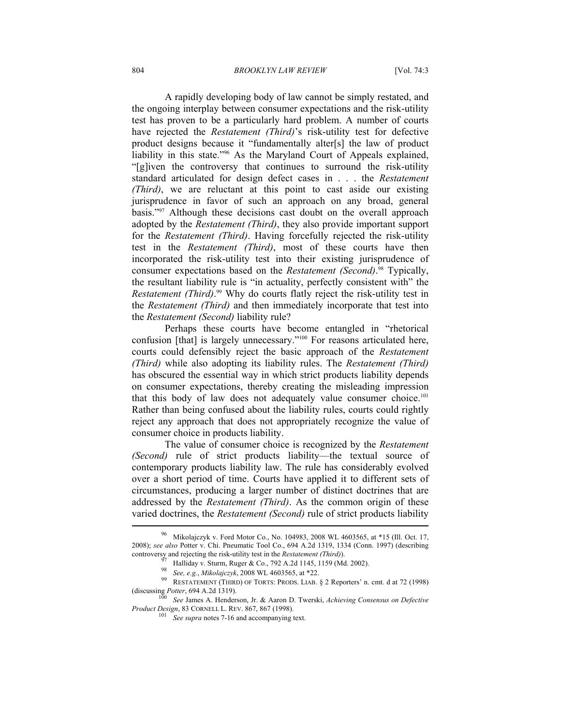A rapidly developing body of law cannot be simply restated, and the ongoing interplay between consumer expectations and the risk-utility test has proven to be a particularly hard problem. A number of courts have rejected the *Restatement (Third)*'s risk-utility test for defective product designs because it "fundamentally alter[s] the law of product liability in this state."96 As the Maryland Court of Appeals explained, "[g]iven the controversy that continues to surround the risk-utility standard articulated for design defect cases in . . . the *Restatement (Third)*, we are reluctant at this point to cast aside our existing jurisprudence in favor of such an approach on any broad, general basis."97 Although these decisions cast doubt on the overall approach adopted by the *Restatement (Third)*, they also provide important support for the *Restatement (Third)*. Having forcefully rejected the risk-utility test in the *Restatement (Third)*, most of these courts have then incorporated the risk-utility test into their existing jurisprudence of consumer expectations based on the *Restatement (Second)*. 98 Typically, the resultant liability rule is "in actuality, perfectly consistent with" the *Restatement (Third)*. 99 Why do courts flatly reject the risk-utility test in the *Restatement (Third)* and then immediately incorporate that test into the *Restatement (Second)* liability rule?

Perhaps these courts have become entangled in "rhetorical confusion [that] is largely unnecessary."100 For reasons articulated here, courts could defensibly reject the basic approach of the *Restatement (Third)* while also adopting its liability rules. The *Restatement (Third)* has obscured the essential way in which strict products liability depends on consumer expectations, thereby creating the misleading impression that this body of law does not adequately value consumer choice.<sup>101</sup> Rather than being confused about the liability rules, courts could rightly reject any approach that does not appropriately recognize the value of consumer choice in products liability.

The value of consumer choice is recognized by the *Restatement (Second)* rule of strict products liability—the textual source of contemporary products liability law. The rule has considerably evolved over a short period of time. Courts have applied it to different sets of circumstances, producing a larger number of distinct doctrines that are addressed by the *Restatement (Third)*. As the common origin of these varied doctrines, the *Restatement (Second)* rule of strict products liability

Mikolajczyk v. Ford Motor Co., No. 104983, 2008 WL 4603565, at \*15 (Ill. Oct. 17, 2008); *see also* Potter v. Chi. Pneumatic Tool Co., 694 A.2d 1319, 1334 (Conn. 1997) (describing

controversy and rejecting the risk-utility test in the *Restatement (Third)*).<br><sup>97</sup> Halliday v. Sturm, Ruger & Co., 792 A.2d 1145, 1159 (Md. 2002).<br><sup>98</sup> *See, e.g., Mikolajczyk*, 2008 WL 4603565, at \*22.<br><sup>99</sup> RESTATEMENT

<sup>(</sup>discussing *Potter*, 694 A.2d 1319). 100 *See* James A. Henderson, Jr. & Aaron D. Twerski, *Achieving Consensus on Defective Product Design*, 83 CORNELL L. REV. 867, 867 (1998).<br><sup>101</sup> *See supra* notes 7-16 and accompanying text.